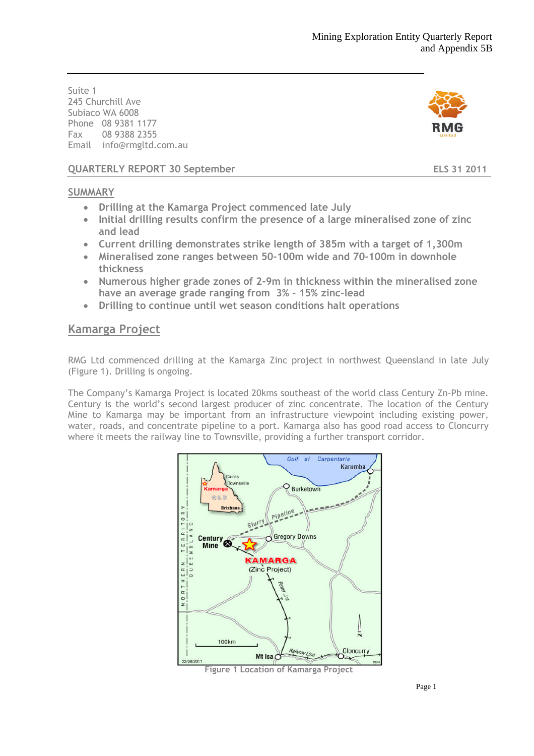Suite 1 245 Churchill Ave Subiaco WA 6008 Phone 08 9381 1177 Fax 08 9388 2355 Email info@rmgltd.com.au



**QUARTERLY REPORT 30 September ELS 31 2011**

## **SUMMARY**

- **Drilling at the Kamarga Project commenced late July**
- **Initial drilling results confirm the presence of a large mineralised zone of zinc and lead**
- **Current drilling demonstrates strike length of 385m with a target of 1,300m**
- **Mineralised zone ranges between 50-100m wide and 70-100m in downhole thickness**
- **Numerous higher grade zones of 2-9m in thickness within the mineralised zone have an average grade ranging from 3% - 15% zinc-lead**
- **Drilling to continue until wet season conditions halt operations**

## **Kamarga Project**

RMG Ltd commenced drilling at the Kamarga Zinc project in northwest Queensland in late July (Figure 1). Drilling is ongoing.

The Company's Kamarga Project is located 20kms southeast of the world class Century Zn-Pb mine. Century is the world's second largest producer of zinc concentrate. The location of the Century Mine to Kamarga may be important from an infrastructure viewpoint including existing power, water, roads, and concentrate pipeline to a port. Kamarga also has good road access to Cloncurry where it meets the railway line to Townsville, providing a further transport corridor.



**Figure 1 Location of Kamarga Project**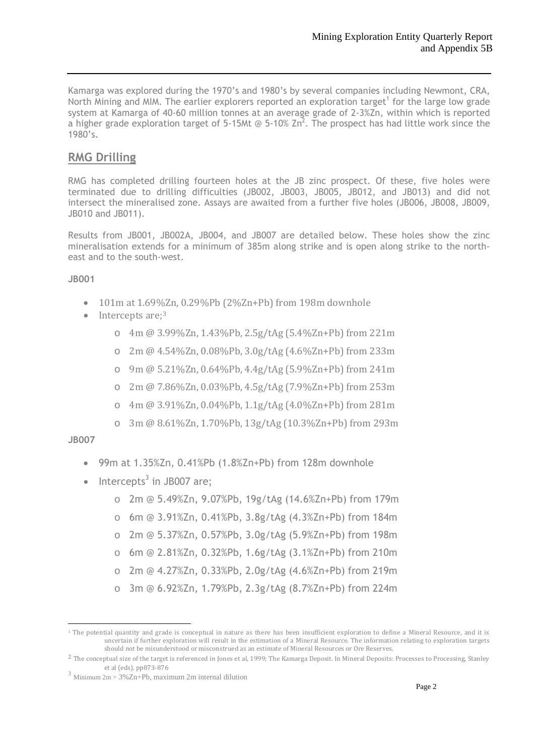Kamarga was explored during the 1970's and 1980's by several companies including Newmont, CRA, North Mining and MIM. The earlier explorers reported an exploration target<sup>1</sup> [f](#page-1-0)or the large low grade system at Kamarga of 40-60 million tonnes at an average grade of 2-3%Zn, within which is reported a higher grade exploration target of 5-15Mt @ 5-10%  $\text{Zn}^2$ [.](#page-1-1) The prospect has had little work since the 1980's.

## **RMG Drilling**

RMG has completed drilling fourteen holes at the JB zinc prospect. Of these, five holes were terminated due to drilling difficulties (JB002, JB003, JB005, JB012, and JB013) and did not intersect the mineralised zone. Assays are awaited from a further five holes (JB006, JB008, JB009, JB010 and JB011).

Results from JB001, JB002A, JB004, and JB007 are detailed below. These holes show the zinc mineralisation extends for a minimum of 385m along strike and is open along strike to the northeast and to the south-west.

### **JB001**

- $\bullet$  101m at 1.69%Zn, 0.29%Pb (2%Zn+Pb) from 198m downhole
- Interceptsare[;](#page-1-2)<sup>3</sup>
	- o 4m @ 3.99%Zn, 1.43%Pb, 2.5g/tAg (5.4%Zn+Pb) from 221m
	- o 2m @ 4.54%Zn, 0.08%Pb, 3.0g/tAg (4.6%Zn+Pb) from 233m
	- o 9m @ 5.21%Zn, 0.64%Pb, 4.4g/tAg (5.9%Zn+Pb) from 241m
	- o 2m @ 7.86%Zn, 0.03%Pb, 4.5g/tAg (7.9%Zn+Pb) from 253m
	- o 4m @ 3.91%Zn, 0.04%Pb, 1.1g/tAg (4.0%Zn+Pb) from 281m
	- o 3m @ 8.61%Zn, 1.70%Pb, 13g/tAg (10.3%Zn+Pb) from 293m

### **JB007**

- 99m at 1.35%Zn, 0.41%Pb (1.8%Zn+Pb) from 128m downhole
- $\bullet$  Intercepts<sup>3</sup> in JB007 are;
	- o 2m @ 5.49%Zn, 9.07%Pb, 19g/tAg (14.6%Zn+Pb) from 179m
	- o 6m @ 3.91%Zn, 0.41%Pb, 3.8g/tAg (4.3%Zn+Pb) from 184m
	- o 2m @ 5.37%Zn, 0.57%Pb, 3.0g/tAg (5.9%Zn+Pb) from 198m
	- o 6m @ 2.81%Zn, 0.32%Pb, 1.6g/tAg (3.1%Zn+Pb) from 210m
	- o 2m @ 4.27%Zn, 0.33%Pb, 2.0g/tAg (4.6%Zn+Pb) from 219m
	- o 3m @ 6.92%Zn, 1.79%Pb, 2.3g/tAg (8.7%Zn+Pb) from 224m

<span id="page-1-0"></span><sup>&</sup>lt;sup>1</sup> The potential quantity and grade is conceptual in nature as there has been insufficient exploration to define a Mineral Resource, and it is uncertain if further exploration will result in the estimation of a Mineral Resource. The information relating to exploration targets should not be misunderstood or misconstrued as an estimate of Mineral Resources or Ore Reserves.

<span id="page-1-1"></span><sup>2</sup> The conceptual size of the target is referenced in Jones et al, 1999; The Kamarga Deposit. In Mineral Deposits: Processes to Processing, Stanley et al (eds). pp873-876

<span id="page-1-2"></span> $3$  Minimum 2m > 3%Zn+Pb, maximum 2m internal dilution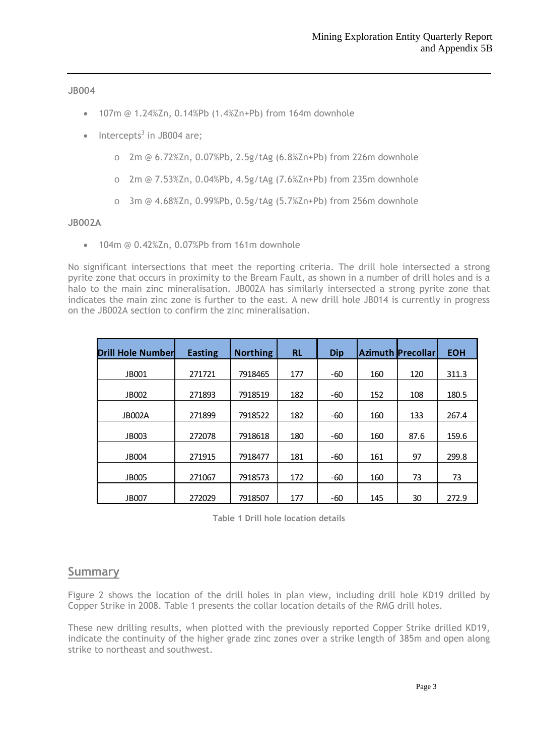**JB004**

- 107m @ 1.24%Zn, 0.14%Pb (1.4%Zn+Pb) from 164m downhole
- $\bullet$  Intercepts<sup>3</sup> in JB004 are;
	- o 2m @ 6.72%Zn, 0.07%Pb, 2.5g/tAg (6.8%Zn+Pb) from 226m downhole
	- o 2m @ 7.53%Zn, 0.04%Pb, 4.5g/tAg (7.6%Zn+Pb) from 235m downhole
	- o 3m @ 4.68%Zn, 0.99%Pb, 0.5g/tAg (5.7%Zn+Pb) from 256m downhole

#### **JB002A**

104m @ 0.42%Zn, 0.07%Pb from 161m downhole

No significant intersections that meet the reporting criteria. The drill hole intersected a strong pyrite zone that occurs in proximity to the Bream Fault, as shown in a number of drill holes and is a halo to the main zinc mineralisation. JB002A has similarly intersected a strong pyrite zone that indicates the main zinc zone is further to the east. A new drill hole JB014 is currently in progress on the JB002A section to confirm the zinc mineralisation.

| <b>Drill Hole Number</b> | <b>Easting</b> | <b>Northing</b> | <b>RL</b> | <b>Dip</b> |     | <b>Azimuth Precollar</b> | <b>EOH</b> |
|--------------------------|----------------|-----------------|-----------|------------|-----|--------------------------|------------|
| JB001                    | 271721         | 7918465         | 177       | $-60$      | 160 | 120                      | 311.3      |
| JB002                    | 271893         | 7918519         | 182       | -60        | 152 | 108                      | 180.5      |
| <b>JB002A</b>            | 271899         | 7918522         | 182       | -60        | 160 | 133                      | 267.4      |
| JB003                    | 272078         | 7918618         | 180       | -60        | 160 | 87.6                     | 159.6      |
| JB004                    | 271915         | 7918477         | 181       | -60        | 161 | 97                       | 299.8      |
| <b>JB005</b>             | 271067         | 7918573         | 172       | -60        | 160 | 73                       | 73         |
| JB007                    | 272029         | 7918507         | 177       | -60        | 145 | 30                       | 272.9      |

**Table 1 Drill hole location details**

### **Summary**

Figure 2 shows the location of the drill holes in plan view, including drill hole KD19 drilled by Copper Strike in 2008. Table 1 presents the collar location details of the RMG drill holes.

These new drilling results, when plotted with the previously reported Copper Strike drilled KD19, indicate the continuity of the higher grade zinc zones over a strike length of 385m and open along strike to northeast and southwest.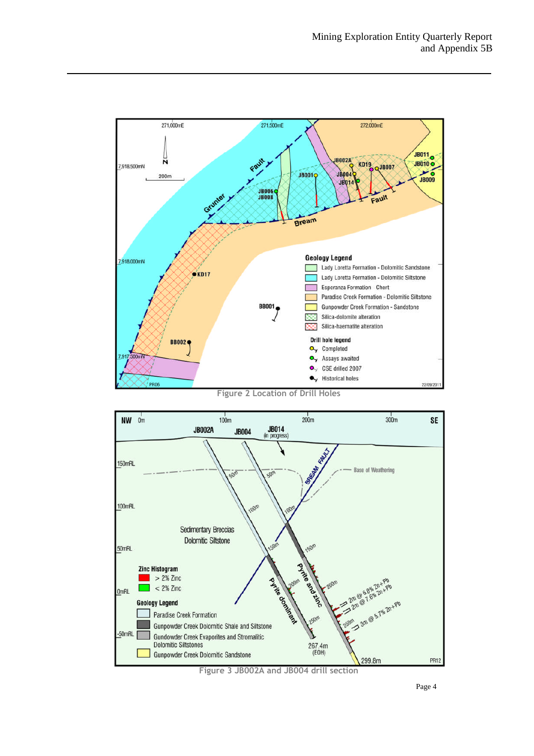

**Figure 2 Location of Drill Holes**



**Figure 3 JB002A and JB004 drill section**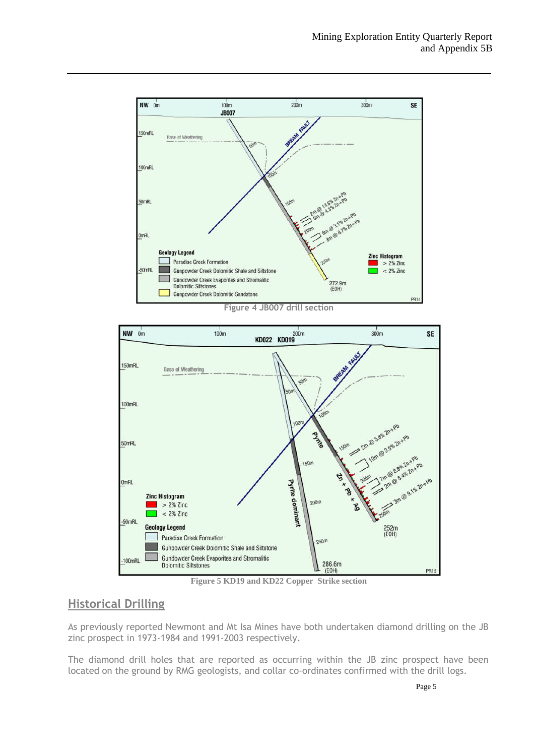

**Figure 4 JB007 drill section**



**Figure 5 KD19 and KD22 Copper Strike section**

## **Historical Drilling**

As previously reported Newmont and Mt Isa Mines have both undertaken diamond drilling on the JB zinc prospect in 1973-1984 and 1991-2003 respectively.

The diamond drill holes that are reported as occurring within the JB zinc prospect have been located on the ground by RMG geologists, and collar co-ordinates confirmed with the drill logs.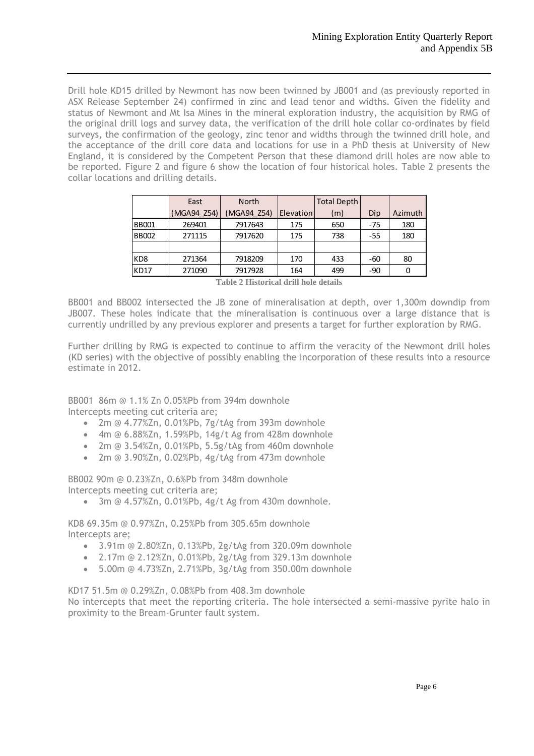Drill hole KD15 drilled by Newmont has now been twinned by JB001 and (as previously reported in ASX Release September 24) confirmed in zinc and lead tenor and widths. Given the fidelity and status of Newmont and Mt Isa Mines in the mineral exploration industry, the acquisition by RMG of the original drill logs and survey data, the verification of the drill hole collar co-ordinates by field surveys, the confirmation of the geology, zinc tenor and widths through the twinned drill hole, and the acceptance of the drill core data and locations for use in a PhD thesis at University of New England, it is considered by the Competent Person that these diamond drill holes are now able to be reported. Figure 2 and figure 6 show the location of four historical holes. Table 2 presents the collar locations and drilling details.

|                 | East        | <b>North</b> |           | <b>Total Depth</b> |       |         |
|-----------------|-------------|--------------|-----------|--------------------|-------|---------|
|                 | (MGA94 Z54) | MGA94 Z54)   | Elevation | (m)                | Dip   | Azimuth |
| <b>BB001</b>    | 269401      | 7917643      | 175       | 650                | $-75$ | 180     |
| <b>BB002</b>    | 271115      | 7917620      | 175       | 738                | $-55$ | 180     |
|                 |             |              |           |                    |       |         |
| KD <sub>8</sub> | 271364      | 7918209      | 170       | 433                | -60   | 80      |
| <b>KD17</b>     | 271090      | 7917928      | 164       | 499                | -90   |         |

**Table 2 Historical drill hole details**

BB001 and BB002 intersected the JB zone of mineralisation at depth, over 1,300m downdip from JB007. These holes indicate that the mineralisation is continuous over a large distance that is currently undrilled by any previous explorer and presents a target for further exploration by RMG.

Further drilling by RMG is expected to continue to affirm the veracity of the Newmont drill holes (KD series) with the objective of possibly enabling the incorporation of these results into a resource estimate in 2012.

BB001 86m @ 1.1% Zn 0.05%Pb from 394m downhole Intercepts meeting cut criteria are;

- 2m @ 4.77%Zn, 0.01%Pb, 7g/tAg from 393m downhole
- 4m @ 6.88%Zn, 1.59%Pb, 14g/t Ag from 428m downhole
- 2m @ 3.54%Zn, 0.01%Pb, 5.5g/tAg from 460m downhole
- 2m @ 3.90%Zn, 0.02%Pb, 4g/tAg from 473m downhole

BB002 90m @ 0.23%Zn, 0.6%Pb from 348m downhole Intercepts meeting cut criteria are;

3m @ 4.57%Zn, 0.01%Pb, 4g/t Ag from 430m downhole.

KD8 69.35m @ 0.97%Zn, 0.25%Pb from 305.65m downhole Intercepts are;

- 3.91m @ 2.80%Zn, 0.13%Pb, 2g/tAg from 320.09m downhole
- 2.17m @ 2.12%Zn, 0.01%Pb, 2g/tAg from 329.13m downhole
- 5.00m @ 4.73%Zn, 2.71%Pb, 3g/tAg from 350.00m downhole

KD17 51.5m @ 0.29%Zn, 0.08%Pb from 408.3m downhole

No intercepts that meet the reporting criteria. The hole intersected a semi-massive pyrite halo in proximity to the Bream-Grunter fault system.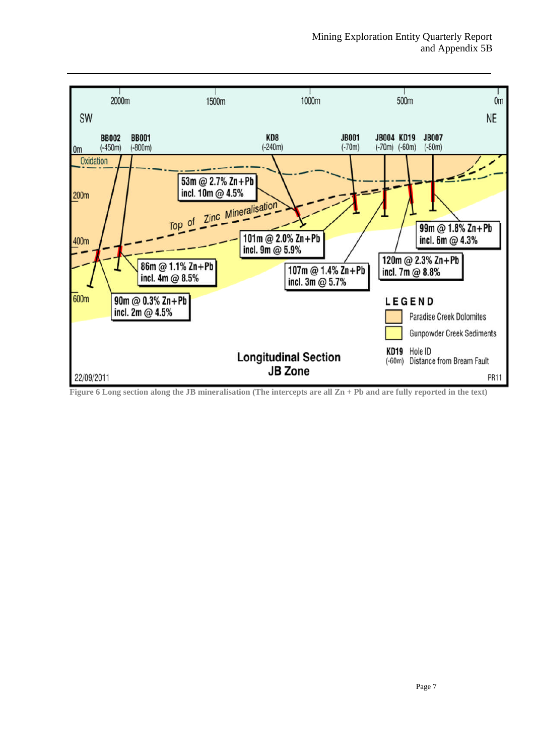

**Figure 6 Long section along the JB mineralisation (The intercepts are all Zn + Pb and are fully reported in the text)**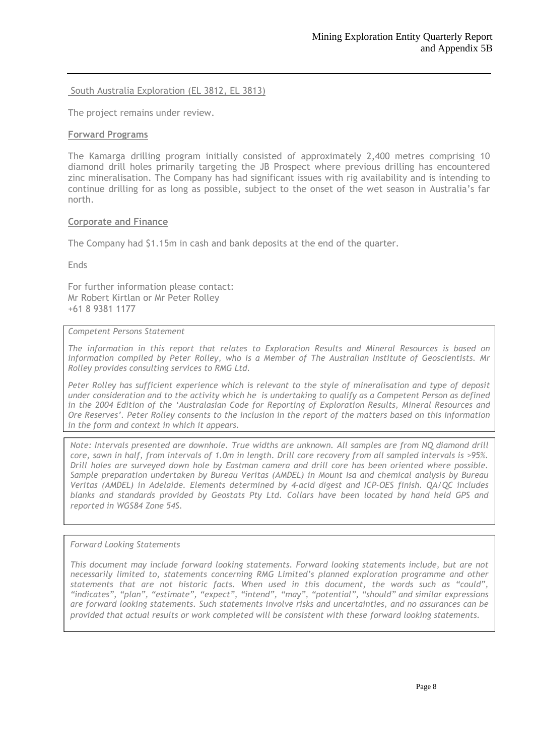South Australia Exploration (EL 3812, EL 3813)

The project remains under review.

#### **Forward Programs**

The Kamarga drilling program initially consisted of approximately 2,400 metres comprising 10 diamond drill holes primarily targeting the JB Prospect where previous drilling has encountered zinc mineralisation. The Company has had significant issues with rig availability and is intending to continue drilling for as long as possible, subject to the onset of the wet season in Australia's far north.

#### **Corporate and Finance**

The Company had \$1.15m in cash and bank deposits at the end of the quarter.

Ends

For further information please contact: Mr Robert Kirtlan or Mr Peter Rolley +61 8 9381 1177

#### *Competent Persons Statement*

*The information in this report that relates to Exploration Results and Mineral Resources is based on information compiled by Peter Rolley, who is a Member of The Australian Institute of Geoscientists. Mr Rolley provides consulting services to RMG Ltd.*

*Peter Rolley has sufficient experience which is relevant to the style of mineralisation and type of deposit under consideration and to the activity which he is undertaking to qualify as a Competent Person as defined in the 2004 Edition of the 'Australasian Code for Reporting of Exploration Results, Mineral Resources and Ore Reserves'. Peter Rolley consents to the inclusion in the report of the matters based on this information in the form and context in which it appears.*

*Note: Intervals presented are downhole. True widths are unknown. All samples are from NQ diamond drill core, sawn in half, from intervals of 1.0m in length. Drill core recovery from all sampled intervals is >95%. Drill holes are surveyed down hole by Eastman camera and drill core has been oriented where possible. Sample preparation undertaken by Bureau Veritas (AMDEL) in Mount Isa and chemical analysis by Bureau Veritas (AMDEL) in Adelaide. Elements determined by 4-acid digest and ICP-OES finish. QA/QC includes blanks and standards provided by Geostats Pty Ltd. Collars have been located by hand held GPS and reported in WGS84 Zone 54S.*

#### *Forward Looking Statements*

*This document may include forward looking statements. Forward looking statements include, but are not necessarily limited to, statements concerning RMG Limited's planned exploration programme and other statements that are not historic facts. When used in this document, the words such as "could", "indicates", "plan", "estimate", "expect", "intend", "may", "potential", "should" and similar expressions are forward looking statements. Such statements involve risks and uncertainties, and no assurances can be provided that actual results or work completed will be consistent with these forward looking statements.*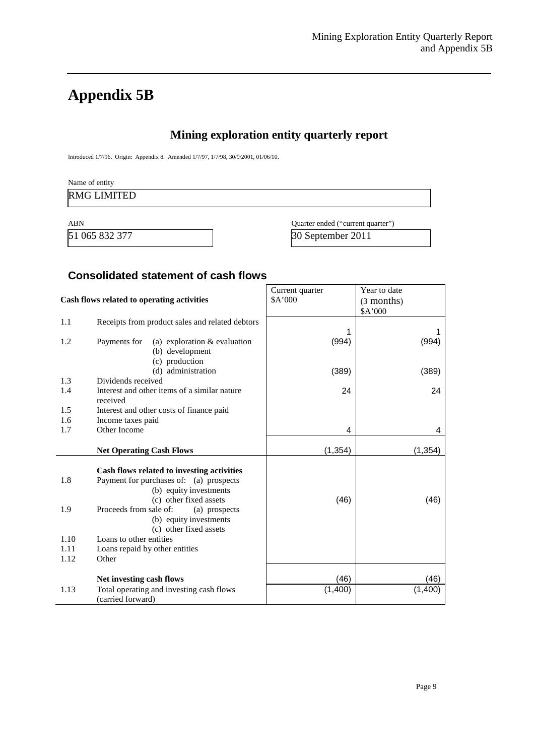# **Appendix 5B**

## **Mining exploration entity quarterly report**

Introduced 1/7/96. Origin: Appendix 8. Amended 1/7/97, 1/7/98, 30/9/2001, 01/06/10.

| Name of entity     |  |  |
|--------------------|--|--|
| <b>RMG LIMITED</b> |  |  |
|                    |  |  |

| ABN            | Quarter ended ("current quarter") |
|----------------|-----------------------------------|
| 51 065 832 377 | 30 September 2011                 |

## **Consolidated statement of cash flows**

| Cash flows related to operating activities |                                                                   | Current quarter<br>\$A'000 | Year to date<br>(3 months) |
|--------------------------------------------|-------------------------------------------------------------------|----------------------------|----------------------------|
|                                            |                                                                   |                            | \$A'000                    |
| 1.1                                        | Receipts from product sales and related debtors                   |                            |                            |
|                                            |                                                                   | 1                          |                            |
| 1.2                                        | Payments for<br>(a) exploration $&$ evaluation<br>(b) development | (994)                      | (994)                      |
|                                            | (c) production                                                    |                            |                            |
|                                            | (d) administration                                                | (389)                      | (389)                      |
| 1.3                                        | Dividends received                                                |                            |                            |
| 1.4                                        | Interest and other items of a similar nature<br>received          | 24                         | 24                         |
| 1.5                                        | Interest and other costs of finance paid                          |                            |                            |
| 1.6                                        | Income taxes paid                                                 |                            |                            |
| 1.7                                        | Other Income                                                      | 4                          | 4                          |
|                                            |                                                                   |                            |                            |
|                                            | <b>Net Operating Cash Flows</b>                                   | (1, 354)                   | (1, 354)                   |
|                                            | Cash flows related to investing activities                        |                            |                            |
| 1.8                                        | Payment for purchases of: (a) prospects                           |                            |                            |
|                                            | (b) equity investments                                            |                            |                            |
|                                            | (c) other fixed assets                                            | (46)                       | (46)                       |
| 1.9                                        | Proceeds from sale of:<br>(a) prospects                           |                            |                            |
|                                            | (b) equity investments<br>(c) other fixed assets                  |                            |                            |
| 1.10                                       | Loans to other entities                                           |                            |                            |
| 1.11                                       | Loans repaid by other entities                                    |                            |                            |
| 1.12                                       | Other                                                             |                            |                            |
|                                            |                                                                   |                            |                            |
|                                            | Net investing cash flows                                          | (46)                       | (46)                       |
| 1.13                                       | Total operating and investing cash flows<br>(carried forward)     | (1,400)                    | (1,400)                    |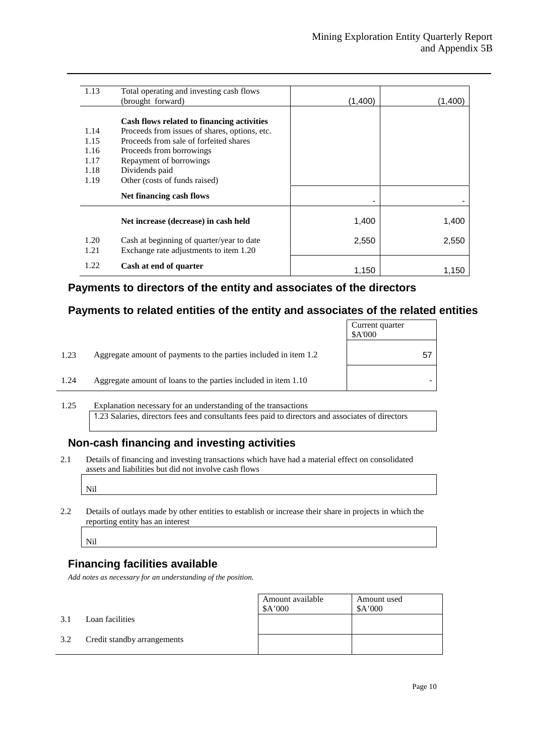| 1.13                                 | Total operating and investing cash flows<br>(brought forward)                                                                                                                                                  | (1,400) | (1.400) |
|--------------------------------------|----------------------------------------------------------------------------------------------------------------------------------------------------------------------------------------------------------------|---------|---------|
| 1.14<br>1.15<br>1.16<br>1.17<br>1.18 | Cash flows related to financing activities<br>Proceeds from issues of shares, options, etc.<br>Proceeds from sale of forfeited shares<br>Proceeds from borrowings<br>Repayment of borrowings<br>Dividends paid |         |         |
| 1.19                                 | Other (costs of funds raised)<br>Net financing cash flows                                                                                                                                                      |         |         |
|                                      | Net increase (decrease) in cash held                                                                                                                                                                           | 1,400   | 1,400   |
| 1.20<br>1.21                         | Cash at beginning of quarter/year to date<br>Exchange rate adjustments to item 1.20                                                                                                                            | 2,550   | 2,550   |
| 1.22                                 | Cash at end of quarter                                                                                                                                                                                         | 1,150   | 1,150   |

## **Payments to directors of the entity and associates of the directors**

## **Payments to related entities of the entity and associates of the related entities**

|      |                                                                  | Current quarter<br>\$A'000 |
|------|------------------------------------------------------------------|----------------------------|
| 1.23 | Aggregate amount of payments to the parties included in item 1.2 | 5,                         |
| 1.24 | Aggregate amount of loans to the parties included in item 1.10   |                            |

1.25 Explanation necessary for an understanding of the transactions 1.23 Salaries, directors fees and consultants fees paid to directors and associates of directors

## **Non-cash financing and investing activities**

2.1 Details of financing and investing transactions which have had a material effect on consolidated assets and liabilities but did not involve cash flows

Nil

2.2 Details of outlays made by other entities to establish or increase their share in projects in which the reporting entity has an interest

Nil

## **Financing facilities available**

*Add notes as necessary for an understanding of the position.*

|     |                             | Amount available<br>\$A'000 | Amount used<br>\$A'000 |
|-----|-----------------------------|-----------------------------|------------------------|
| 3.1 | Loan facilities             |                             |                        |
| 3.2 | Credit standby arrangements |                             |                        |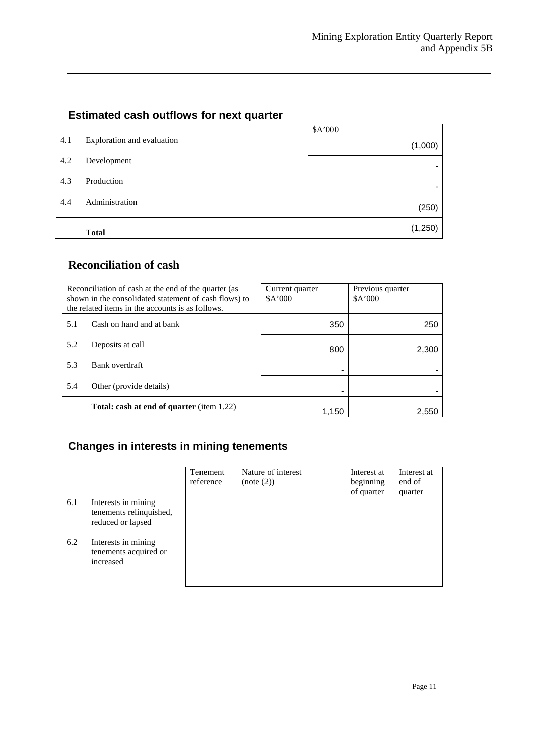## **Estimated cash outflows for next quarter**

|     |                            | \$A'000 |
|-----|----------------------------|---------|
| 4.1 | Exploration and evaluation | (1,000) |
| 4.2 | Development                |         |
| 4.3 | Production                 |         |
| 4.4 | Administration             | (250)   |
|     | <b>Total</b>               | (1,250) |

## **Reconciliation of cash**

| Reconciliation of cash at the end of the quarter (as<br>shown in the consolidated statement of cash flows) to<br>the related items in the accounts is as follows. |                                                  | Current quarter<br>A'000 | Previous quarter<br>A'000 |
|-------------------------------------------------------------------------------------------------------------------------------------------------------------------|--------------------------------------------------|--------------------------|---------------------------|
| 5.1                                                                                                                                                               | Cash on hand and at bank                         | 350                      | 250                       |
| 5.2                                                                                                                                                               | Deposits at call                                 | 800                      | 2,300                     |
| 5.3                                                                                                                                                               | Bank overdraft                                   |                          |                           |
| 5.4                                                                                                                                                               | Other (provide details)                          |                          |                           |
|                                                                                                                                                                   | <b>Total: cash at end of quarter</b> (item 1.22) | 1.150                    | 2.550                     |

## **Changes in interests in mining tenements**

|     |                                                                     | Tenement<br>reference | Nature of interest<br>(note (2)) | Interest at<br>beginning<br>of quarter | Interest at<br>end of<br>quarter |
|-----|---------------------------------------------------------------------|-----------------------|----------------------------------|----------------------------------------|----------------------------------|
| 6.1 | Interests in mining<br>tenements relinquished,<br>reduced or lapsed |                       |                                  |                                        |                                  |
| 6.2 | Interests in mining<br>tenements acquired or<br>increased           |                       |                                  |                                        |                                  |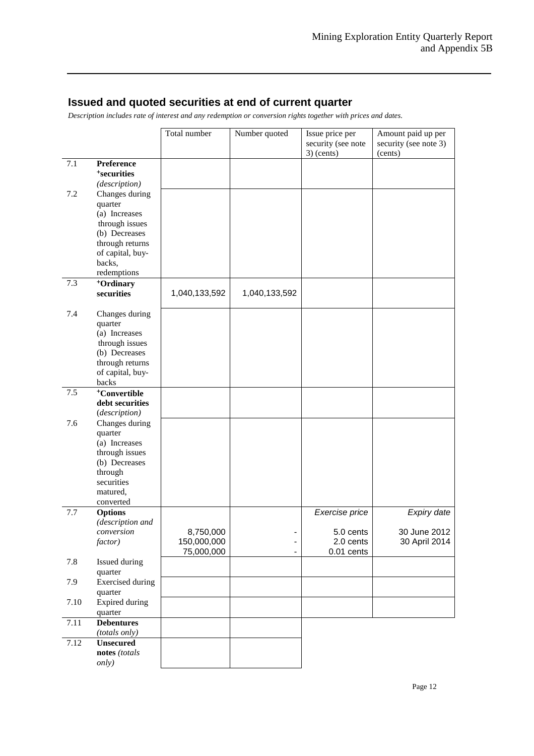## **Issued and quoted securities at end of current quarter**

*Description includes rate of interest and any redemption or conversion rights together with prices and dates.*

|      |                                    | Total number  | Number quoted | Issue price per    | Amount paid up per    |
|------|------------------------------------|---------------|---------------|--------------------|-----------------------|
|      |                                    |               |               | security (see note | security (see note 3) |
|      |                                    |               |               | $3)$ (cents)       | (cents)               |
| 7.1  | <b>Preference</b>                  |               |               |                    |                       |
|      | <sup>+</sup> securities            |               |               |                    |                       |
|      | (description)                      |               |               |                    |                       |
| 7.2  | Changes during                     |               |               |                    |                       |
|      | quarter                            |               |               |                    |                       |
|      | (a) Increases                      |               |               |                    |                       |
|      | through issues                     |               |               |                    |                       |
|      | (b) Decreases<br>through returns   |               |               |                    |                       |
|      | of capital, buy-                   |               |               |                    |                       |
|      | backs,                             |               |               |                    |                       |
|      | redemptions                        |               |               |                    |                       |
| 7.3  | <sup>+</sup> Ordinary              |               |               |                    |                       |
|      | securities                         | 1,040,133,592 | 1,040,133,592 |                    |                       |
|      |                                    |               |               |                    |                       |
| 7.4  | Changes during                     |               |               |                    |                       |
|      | quarter                            |               |               |                    |                       |
|      | (a) Increases                      |               |               |                    |                       |
|      | through issues                     |               |               |                    |                       |
|      | (b) Decreases                      |               |               |                    |                       |
|      | through returns                    |               |               |                    |                       |
|      | of capital, buy-                   |               |               |                    |                       |
|      | backs                              |               |               |                    |                       |
| 7.5  | <sup>+</sup> Convertible           |               |               |                    |                       |
|      | debt securities                    |               |               |                    |                       |
|      | (description)                      |               |               |                    |                       |
| 7.6  | Changes during                     |               |               |                    |                       |
|      | quarter                            |               |               |                    |                       |
|      | (a) Increases<br>through issues    |               |               |                    |                       |
|      | (b) Decreases                      |               |               |                    |                       |
|      | through                            |               |               |                    |                       |
|      | securities                         |               |               |                    |                       |
|      | matured,                           |               |               |                    |                       |
|      | converted                          |               |               |                    |                       |
| 7.7  | <b>Options</b>                     |               |               | Exercise price     | Expiry date           |
|      | (description and                   |               |               |                    |                       |
|      | conversion                         | 8,750,000     |               | 5.0 cents          | 30 June 2012          |
|      | factor)                            | 150,000,000   |               | 2.0 cents          | 30 April 2014         |
|      |                                    | 75,000,000    |               | 0.01 cents         |                       |
| 7.8  | Issued during                      |               |               |                    |                       |
|      | quarter                            |               |               |                    |                       |
| 7.9  | <b>Exercised</b> during            |               |               |                    |                       |
|      | quarter                            |               |               |                    |                       |
| 7.10 | Expired during                     |               |               |                    |                       |
|      | quarter                            |               |               |                    |                       |
| 7.11 | <b>Debentures</b><br>(totals only) |               |               |                    |                       |
| 7.12 | <b>Unsecured</b>                   |               |               |                    |                       |
|      | notes (totals                      |               |               |                    |                       |
|      | <i>only</i> )                      |               |               |                    |                       |
|      |                                    |               |               |                    |                       |